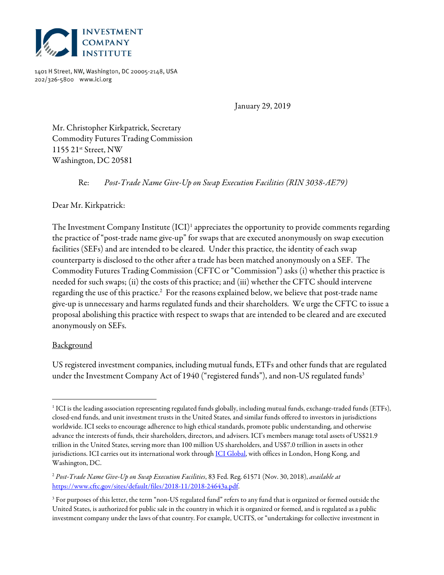

1401 H Street, NW, Washington, DC 20005-2148, USA 202/326-5800 www.ici.org

January 29, 2019

Mr. Christopher Kirkpatrick, Secretary Commodity Futures Trading Commission 1155 21<sup>st</sup> Street, NW Washington, DC 20581

Re: Post-Trade Name Give-Up on Swap Execution Facilities (RIN 3038-AE79)

Dear Mr. Kirkpatrick:

The Investment Company Institute (ICI)<sup>1</sup> appreciates the opportunity to provide comments regarding the practice of "post-trade name give-up" for swaps that are executed anonymously on swap execution facilities (SEFs) and are intended to be cleared. Under this practice, the identity of each swap counterparty is disclosed to the other after a trade has been matched anonymously on a SEF. The Commodity Futures Trading Commission (CFTC or "Commission") asks (i) whether this practice is needed for such swaps; (ii) the costs of this practice; and (iii) whether the CFTC should intervene regarding the use of this practice. $^2$  For the reasons explained below, we believe that post-trade name give-up is unnecessary and harms regulated funds and their shareholders. We urge the CFTC to issue a proposal abolishing this practice with respect to swaps that are intended to be cleared and are executed anonymously on SEFs.

## **Background**

 $\overline{a}$ 

US registered investment companies, including mutual funds, ETFs and other funds that are regulated under the Investment Company Act of 1940 ("registered funds"), and non-US regulated funds<sup>3</sup>

<sup>&</sup>lt;sup>1</sup> ICI is the leading association representing regulated funds globally, including mutual funds, exchange-traded funds (ETFs), closed-end funds, and unit investment trusts in the United States, and similar funds offered to investors in jurisdictions worldwide. ICI seeks to encourage adherence to high ethical standards, promote public understanding, and otherwise advance the interests of funds, their shareholders, directors, and advisers. ICI's members manage total assets of US\$21.9 trillion in the United States, serving more than 100 million US shareholders, and US\$7.0 trillion in assets in other jurisdictions. ICI carries out its international work through *ICI Global*, with offices in London, Hong Kong, and Washington, DC.

<sup>&</sup>lt;sup>2</sup> Post-Trade Name Give-Up on Swap Execution Facilities, 83 Fed. Reg. 61571 (Nov. 30, 2018), available at https://www.cftc.gov/sites/default/files/2018-11/2018-24643a.pdf.

 $^3$  For purposes of this letter, the term "non-US regulated fund" refers to any fund that is organized or formed outside the United States, is authorized for public sale in the country in which it is organized or formed, and is regulated as a public investment company under the laws of that country. For example, UCITS, or "undertakings for collective investment in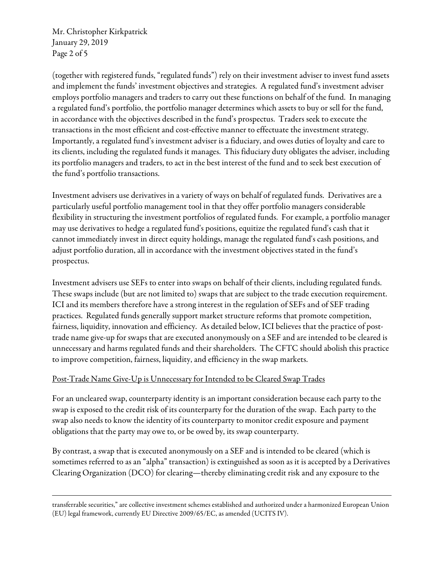Mr. Christopher Kirkpatrick January 29, 2019 Page 2 of 5

-

(together with registered funds, "regulated funds") rely on their investment adviser to invest fund assets and implement the funds' investment objectives and strategies. A regulated fund's investment adviser employs portfolio managers and traders to carry out these functions on behalf of the fund. In managing a regulated fund's portfolio, the portfolio manager determines which assets to buy or sell for the fund, in accordance with the objectives described in the fund's prospectus. Traders seek to execute the transactions in the most efficient and cost-effective manner to effectuate the investment strategy. Importantly, a regulated fund's investment adviser is a fiduciary, and owes duties of loyalty and care to its clients, including the regulated funds it manages. This fiduciary duty obligates the adviser, including its portfolio managers and traders, to act in the best interest of the fund and to seek best execution of the fund's portfolio transactions.

Investment advisers use derivatives in a variety of ways on behalf of regulated funds. Derivatives are a particularly useful portfolio management tool in that they offer portfolio managers considerable flexibility in structuring the investment portfolios of regulated funds. For example, a portfolio manager may use derivatives to hedge a regulated fund's positions, equitize the regulated fund's cash that it cannot immediately invest in direct equity holdings, manage the regulated fund's cash positions, and adjust portfolio duration, all in accordance with the investment objectives stated in the fund's prospectus.

Investment advisers use SEFs to enter into swaps on behalf of their clients, including regulated funds. These swaps include (but are not limited to) swaps that are subject to the trade execution requirement. ICI and its members therefore have a strong interest in the regulation of SEFs and of SEF trading practices. Regulated funds generally support market structure reforms that promote competition, fairness, liquidity, innovation and efficiency. As detailed below, ICI believes that the practice of posttrade name give-up for swaps that are executed anonymously on a SEF and are intended to be cleared is unnecessary and harms regulated funds and their shareholders. The CFTC should abolish this practice to improve competition, fairness, liquidity, and efficiency in the swap markets.

## Post-Trade Name Give-Up is Unnecessary for Intended to be Cleared Swap Trades

For an uncleared swap, counterparty identity is an important consideration because each party to the swap is exposed to the credit risk of its counterparty for the duration of the swap. Each party to the swap also needs to know the identity of its counterparty to monitor credit exposure and payment obligations that the party may owe to, or be owed by, its swap counterparty.

By contrast, a swap that is executed anonymously on a SEF and is intended to be cleared (which is sometimes referred to as an "alpha" transaction) is extinguished as soon as it is accepted by a Derivatives Clearing Organization (DCO) for clearing—thereby eliminating credit risk and any exposure to the

transferrable securities," are collective investment schemes established and authorized under a harmonized European Union (EU) legal framework, currently EU Directive 2009/65/EC, as amended (UCITS IV).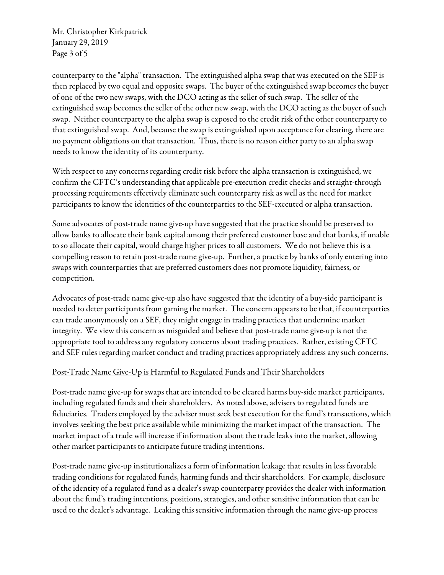Mr. Christopher Kirkpatrick January 29, 2019 Page 3 of 5

counterparty to the "alpha" transaction. The extinguished alpha swap that was executed on the SEF is then replaced by two equal and opposite swaps. The buyer of the extinguished swap becomes the buyer of one of the two new swaps, with the DCO acting as the seller of such swap. The seller of the extinguished swap becomes the seller of the other new swap, with the DCO acting as the buyer of such swap. Neither counterparty to the alpha swap is exposed to the credit risk of the other counterparty to that extinguished swap. And, because the swap is extinguished upon acceptance for clearing, there are no payment obligations on that transaction. Thus, there is no reason either party to an alpha swap needs to know the identity of its counterparty.

With respect to any concerns regarding credit risk before the alpha transaction is extinguished, we confirm the CFTC's understanding that applicable pre-execution credit checks and straight-through processing requirements effectively eliminate such counterparty risk as well as the need for market participants to know the identities of the counterparties to the SEF-executed or alpha transaction.

Some advocates of post-trade name give-up have suggested that the practice should be preserved to allow banks to allocate their bank capital among their preferred customer base and that banks, if unable to so allocate their capital, would charge higher prices to all customers. We do not believe this is a compelling reason to retain post-trade name give-up. Further, a practice by banks of only entering into swaps with counterparties that are preferred customers does not promote liquidity, fairness, or competition.

Advocates of post-trade name give-up also have suggested that the identity of a buy-side participant is needed to deter participants from gaming the market. The concern appears to be that, if counterparties can trade anonymously on a SEF, they might engage in trading practices that undermine market integrity. We view this concern as misguided and believe that post-trade name give-up is not the appropriate tool to address any regulatory concerns about trading practices. Rather, existing CFTC and SEF rules regarding market conduct and trading practices appropriately address any such concerns.

## Post-Trade Name Give-Up is Harmful to Regulated Funds and Their Shareholders

Post-trade name give-up for swaps that are intended to be cleared harms buy-side market participants, including regulated funds and their shareholders. As noted above, advisers to regulated funds are fiduciaries. Traders employed by the adviser must seek best execution for the fund's transactions, which involves seeking the best price available while minimizing the market impact of the transaction. The market impact of a trade will increase if information about the trade leaks into the market, allowing other market participants to anticipate future trading intentions.

Post-trade name give-up institutionalizes a form of information leakage that results in less favorable trading conditions for regulated funds, harming funds and their shareholders. For example, disclosure of the identity of a regulated fund as a dealer's swap counterparty provides the dealer with information about the fund's trading intentions, positions, strategies, and other sensitive information that can be used to the dealer's advantage. Leaking this sensitive information through the name give-up process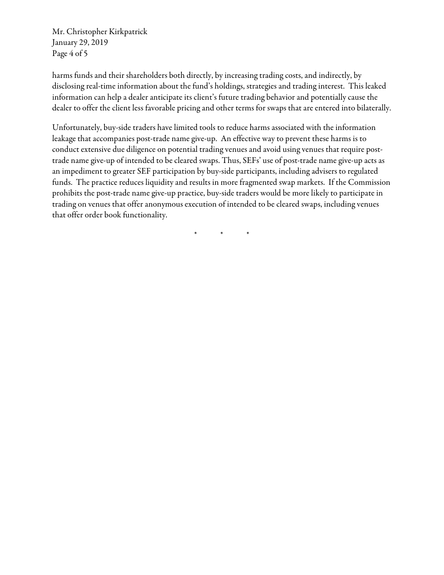Mr. Christopher Kirkpatrick January 29, 2019 Page 4 of 5

harms funds and their shareholders both directly, by increasing trading costs, and indirectly, by disclosing real-time information about the fund's holdings, strategies and trading interest. This leaked information can help a dealer anticipate its client's future trading behavior and potentially cause the dealer to offer the client less favorable pricing and other terms for swaps that are entered into bilaterally.

Unfortunately, buy-side traders have limited tools to reduce harms associated with the information leakage that accompanies post-trade name give-up. An effective way to prevent these harms is to conduct extensive due diligence on potential trading venues and avoid using venues that require posttrade name give-up of intended to be cleared swaps. Thus, SEFs' use of post-trade name give-up acts as an impediment to greater SEF participation by buy-side participants, including advisers to regulated funds. The practice reduces liquidity and results in more fragmented swap markets. If the Commission prohibits the post-trade name give-up practice, buy-side traders would be more likely to participate in trading on venues that offer anonymous execution of intended to be cleared swaps, including venues that offer order book functionality.

\* \* \*